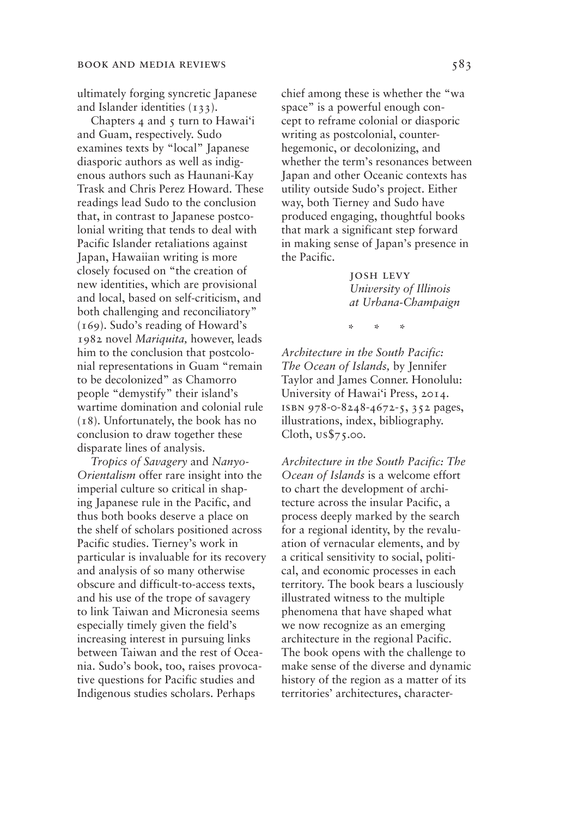ultimately forging syncretic Japanese and Islander identities  $(133)$ .

Chapters  $4$  and  $5$  turn to Hawai'i and Guam, respectively. Sudo examines texts by "local" Japanese diasporic authors as well as indigenous authors such as Haunani-Kay Trask and Chris Perez Howard. These readings lead Sudo to the conclusion that, in contrast to Japanese postcolonial writing that tends to deal with Pacific Islander retaliations against Japan, Hawaiian writing is more closely focused on "the creation of new identities, which are provisional and local, based on self-criticism, and both challenging and reconciliatory" (169). Sudo's reading of Howard's 1982 novel *Mariquita,* however, leads him to the conclusion that postcolonial representations in Guam "remain to be decolonized" as Chamorro people "demystify" their island's wartime domination and colonial rule (18). Unfortunately, the book has no conclusion to draw together these disparate lines of analysis.

*Tropics of Savagery* and *Nanyo-Orientalism* offer rare insight into the imperial culture so critical in shaping Japanese rule in the Pacific, and thus both books deserve a place on the shelf of scholars positioned across Pacific studies. Tierney's work in particular is invaluable for its recovery and analysis of so many otherwise obscure and difficult-to-access texts, and his use of the trope of savagery to link Taiwan and Micronesia seems especially timely given the field's increasing interest in pursuing links between Taiwan and the rest of Oceania. Sudo's book, too, raises provocative questions for Pacific studies and Indigenous studies scholars. Perhaps

chief among these is whether the "wa space" is a powerful enough concept to reframe colonial or diasporic writing as postcolonial, counterhegemonic, or decolonizing, and whether the term's resonances between Japan and other Oceanic contexts has utility outside Sudo's project. Either way, both Tierney and Sudo have produced engaging, thoughtful books that mark a significant step forward in making sense of Japan's presence in the Pacific.

> josh levy *University of Illinois at Urbana-Champaign*

\* \* \*

*Architecture in the South Pacific: The Ocean of Islands,* by Jennifer Taylor and James Conner. Honolulu: University of Hawai'i Press, 2014. isbn 978-0-8248-4672-5, 352 pages, illustrations, index, bibliography. Cloth,  $US\$ 75.00.

*Architecture in the South Pacific: The Ocean of Islands* is a welcome effort to chart the development of architecture across the insular Pacific, a process deeply marked by the search for a regional identity, by the revaluation of vernacular elements, and by a critical sensitivity to social, political, and economic processes in each territory. The book bears a lusciously illustrated witness to the multiple phenomena that have shaped what we now recognize as an emerging architecture in the regional Pacific. The book opens with the challenge to make sense of the diverse and dynamic history of the region as a matter of its territories' architectures, character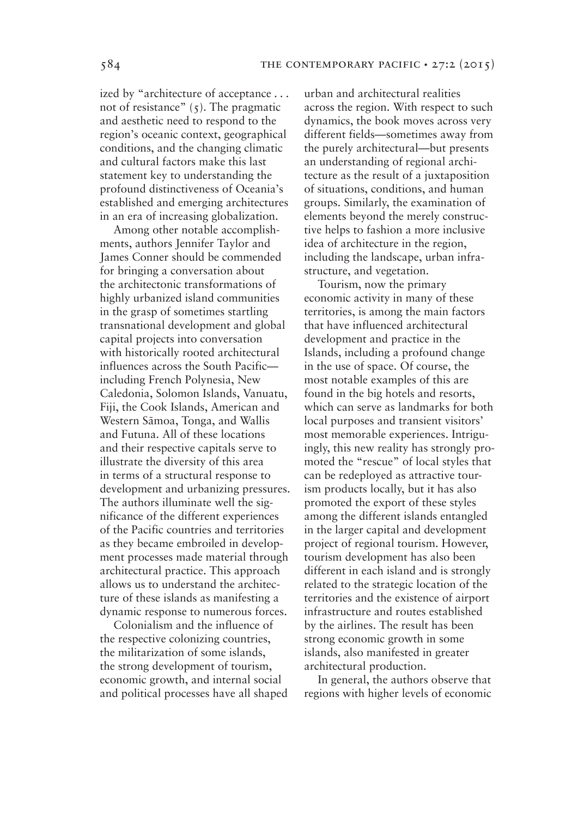ized by "architecture of acceptance . . . not of resistance"  $(5)$ . The pragmatic and aesthetic need to respond to the region's oceanic context, geographical conditions, and the changing climatic and cultural factors make this last statement key to understanding the profound distinctiveness of Oceania's established and emerging architectures in an era of increasing globalization.

Among other notable accomplishments, authors Jennifer Taylor and James Conner should be commended for bringing a conversation about the architectonic transformations of highly urbanized island communities in the grasp of sometimes startling transnational development and global capital projects into conversation with historically rooted architectural influences across the South Pacific including French Polynesia, New Caledonia, Solomon Islands, Vanuatu, Fiji, the Cook Islands, American and Western Sāmoa, Tonga, and Wallis and Futuna. All of these locations and their respective capitals serve to illustrate the diversity of this area in terms of a structural response to development and urbanizing pressures. The authors illuminate well the significance of the different experiences of the Pacific countries and territories as they became embroiled in development processes made material through architectural practice. This approach allows us to understand the architecture of these islands as manifesting a dynamic response to numerous forces.

Colonialism and the influence of the respective colonizing countries, the militarization of some islands, the strong development of tourism, economic growth, and internal social and political processes have all shaped urban and architectural realities across the region. With respect to such dynamics, the book moves across very different fields—sometimes away from the purely architectural—but presents an understanding of regional architecture as the result of a juxtaposition of situations, conditions, and human groups. Similarly, the examination of elements beyond the merely constructive helps to fashion a more inclusive idea of architecture in the region, including the landscape, urban infrastructure, and vegetation.

Tourism, now the primary economic activity in many of these territories, is among the main factors that have influenced architectural development and practice in the Islands, including a profound change in the use of space. Of course, the most notable examples of this are found in the big hotels and resorts, which can serve as landmarks for both local purposes and transient visitors' most memorable experiences. Intriguingly, this new reality has strongly promoted the "rescue" of local styles that can be redeployed as attractive tourism products locally, but it has also promoted the export of these styles among the different islands entangled in the larger capital and development project of regional tourism. However, tourism development has also been different in each island and is strongly related to the strategic location of the territories and the existence of airport infrastructure and routes established by the airlines. The result has been strong economic growth in some islands, also manifested in greater architectural production.

In general, the authors observe that regions with higher levels of economic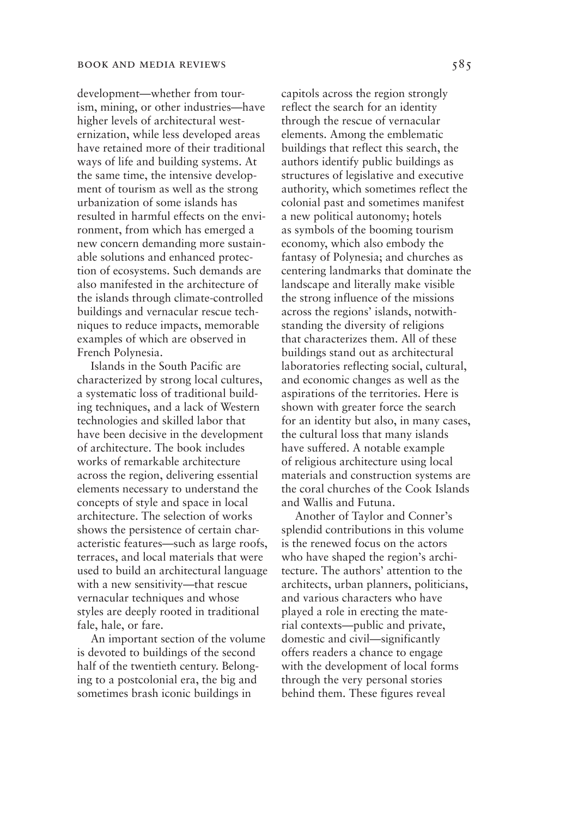development—whether from tourism, mining, or other industries—have higher levels of architectural westernization, while less developed areas have retained more of their traditional ways of life and building systems. At the same time, the intensive development of tourism as well as the strong urbanization of some islands has resulted in harmful effects on the environment, from which has emerged a new concern demanding more sustainable solutions and enhanced protection of ecosystems. Such demands are also manifested in the architecture of the islands through climate-controlled buildings and vernacular rescue techniques to reduce impacts, memorable examples of which are observed in French Polynesia.

Islands in the South Pacific are characterized by strong local cultures, a systematic loss of traditional building techniques, and a lack of Western technologies and skilled labor that have been decisive in the development of architecture. The book includes works of remarkable architecture across the region, delivering essential elements necessary to understand the concepts of style and space in local architecture. The selection of works shows the persistence of certain characteristic features—such as large roofs, terraces, and local materials that were used to build an architectural language with a new sensitivity—that rescue vernacular techniques and whose styles are deeply rooted in traditional fale, hale, or fare.

An important section of the volume is devoted to buildings of the second half of the twentieth century. Belonging to a postcolonial era, the big and sometimes brash iconic buildings in

capitols across the region strongly reflect the search for an identity through the rescue of vernacular elements. Among the emblematic buildings that reflect this search, the authors identify public buildings as structures of legislative and executive authority, which sometimes reflect the colonial past and sometimes manifest a new political autonomy; hotels as symbols of the booming tourism economy, which also embody the fantasy of Polynesia; and churches as centering landmarks that dominate the landscape and literally make visible the strong influence of the missions across the regions' islands, notwithstanding the diversity of religions that characterizes them. All of these buildings stand out as architectural laboratories reflecting social, cultural, and economic changes as well as the aspirations of the territories. Here is shown with greater force the search for an identity but also, in many cases, the cultural loss that many islands have suffered. A notable example of religious architecture using local materials and construction systems are the coral churches of the Cook Islands and Wallis and Futuna.

Another of Taylor and Conner's splendid contributions in this volume is the renewed focus on the actors who have shaped the region's architecture. The authors' attention to the architects, urban planners, politicians, and various characters who have played a role in erecting the material contexts—public and private, domestic and civil—significantly offers readers a chance to engage with the development of local forms through the very personal stories behind them. These figures reveal